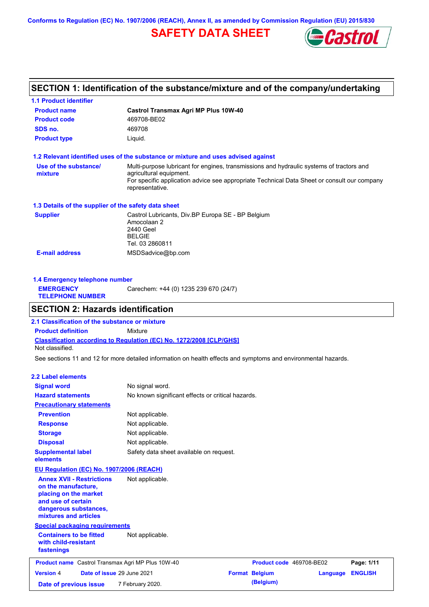**Conforms to Regulation (EC) No. 1907/2006 (REACH), Annex II, as amended by Commission Regulation (EU) 2015/830**

# **SAFETY DATA SHEET**



## **SECTION 1: Identification of the substance/mixture and of the company/undertaking**

| <b>Product name</b>                                  | <b>Castrol Transmax Agri MP Plus 10W-40</b>                                                                                                                                                                                           |  |  |  |  |  |
|------------------------------------------------------|---------------------------------------------------------------------------------------------------------------------------------------------------------------------------------------------------------------------------------------|--|--|--|--|--|
| <b>Product code</b>                                  | 469708-BE02                                                                                                                                                                                                                           |  |  |  |  |  |
| SDS no.                                              | 469708                                                                                                                                                                                                                                |  |  |  |  |  |
| <b>Product type</b>                                  | Liquid.                                                                                                                                                                                                                               |  |  |  |  |  |
|                                                      | 1.2 Relevant identified uses of the substance or mixture and uses advised against                                                                                                                                                     |  |  |  |  |  |
| Use of the substance/<br>mixture                     | Multi-purpose lubricant for engines, transmissions and hydraulic systems of tractors and<br>agricultural equipment.<br>For specific application advice see appropriate Technical Data Sheet or consult our company<br>representative. |  |  |  |  |  |
| 1.3 Details of the supplier of the safety data sheet |                                                                                                                                                                                                                                       |  |  |  |  |  |
| <b>Supplier</b>                                      | Castrol Lubricants, Div.BP Europa SE - BP Belgium<br>Amocolaan 2<br>2440 Geel<br><b>BELGIE</b><br>Tel. 03 2860811                                                                                                                     |  |  |  |  |  |
|                                                      | MSDSadvice@bp.com                                                                                                                                                                                                                     |  |  |  |  |  |

| 1.4 Emergency telephone number              |                                       |  |  |  |
|---------------------------------------------|---------------------------------------|--|--|--|
| <b>EMERGENCY</b><br><b>TELEPHONE NUMBER</b> | Carechem: +44 (0) 1235 239 670 (24/7) |  |  |  |

## **SECTION 2: Hazards identification**

**Classification according to Regulation (EC) No. 1272/2008 [CLP/GHS] 2.1 Classification of the substance or mixture Product definition** Mixture Not classified.

See sections 11 and 12 for more detailed information on health effects and symptoms and environmental hazards.

#### **2.2 Label elements**

| <b>Signal word</b>                                                                                                                                       | No signal word.                                   |                          |          |                |
|----------------------------------------------------------------------------------------------------------------------------------------------------------|---------------------------------------------------|--------------------------|----------|----------------|
| <b>Hazard statements</b>                                                                                                                                 | No known significant effects or critical hazards. |                          |          |                |
| <b>Precautionary statements</b>                                                                                                                          |                                                   |                          |          |                |
| <b>Prevention</b>                                                                                                                                        | Not applicable.                                   |                          |          |                |
| <b>Response</b>                                                                                                                                          | Not applicable.                                   |                          |          |                |
| <b>Storage</b>                                                                                                                                           | Not applicable.                                   |                          |          |                |
| <b>Disposal</b>                                                                                                                                          | Not applicable.                                   |                          |          |                |
| <b>Supplemental label</b><br>elements                                                                                                                    | Safety data sheet available on request.           |                          |          |                |
| EU Regulation (EC) No. 1907/2006 (REACH)                                                                                                                 |                                                   |                          |          |                |
| <b>Annex XVII - Restrictions</b><br>on the manufacture,<br>placing on the market<br>and use of certain<br>dangerous substances,<br>mixtures and articles | Not applicable.                                   |                          |          |                |
| <b>Special packaging requirements</b>                                                                                                                    |                                                   |                          |          |                |
| <b>Containers to be fitted</b><br>with child-resistant<br>fastenings                                                                                     | Not applicable.                                   |                          |          |                |
| <b>Product name</b> Castrol Transmax Agri MP Plus 10W-40                                                                                                 |                                                   | Product code 469708-BE02 |          | Page: 1/11     |
| Date of issue 29 June 2021<br><b>Version 4</b>                                                                                                           |                                                   | <b>Format Belgium</b>    | Language | <b>ENGLISH</b> |
| Date of previous issue                                                                                                                                   | 7 February 2020.                                  | (Belgium)                |          |                |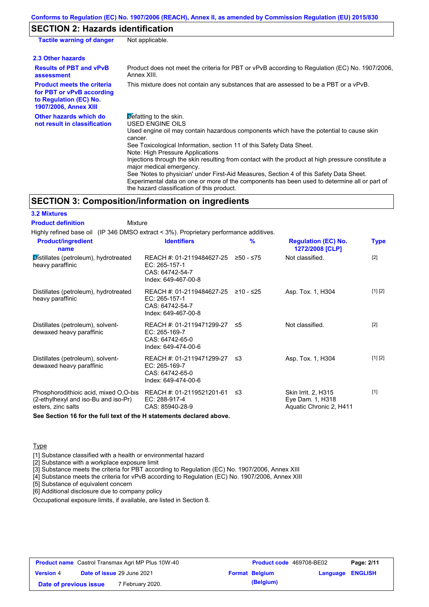#### **Conforms to Regulation (EC) No. 1907/2006 (REACH), Annex II, as amended by Commission Regulation (EU) 2015/830**

## **SECTION 2: Hazards identification**

| <b>Tactile warning of danger</b>                                                                                         | Not applicable.                                                                                                                                                                                                                                                                                                                                                                                                                                                                                                                                                                                                                                        |
|--------------------------------------------------------------------------------------------------------------------------|--------------------------------------------------------------------------------------------------------------------------------------------------------------------------------------------------------------------------------------------------------------------------------------------------------------------------------------------------------------------------------------------------------------------------------------------------------------------------------------------------------------------------------------------------------------------------------------------------------------------------------------------------------|
| 2.3 Other hazards                                                                                                        |                                                                                                                                                                                                                                                                                                                                                                                                                                                                                                                                                                                                                                                        |
| <b>Results of PBT and vPvB</b><br>assessment                                                                             | Product does not meet the criteria for PBT or vPvB according to Regulation (EC) No. 1907/2006,<br>Annex XIII.                                                                                                                                                                                                                                                                                                                                                                                                                                                                                                                                          |
| <b>Product meets the criteria</b><br>for PBT or vPvB according<br>to Regulation (EC) No.<br><b>1907/2006, Annex XIII</b> | This mixture does not contain any substances that are assessed to be a PBT or a vPvB.                                                                                                                                                                                                                                                                                                                                                                                                                                                                                                                                                                  |
| Other hazards which do<br>not result in classification                                                                   | $\triangleright$ efatting to the skin.<br>USED ENGINE OILS<br>Used engine oil may contain hazardous components which have the potential to cause skin<br>cancer.<br>See Toxicological Information, section 11 of this Safety Data Sheet.<br>Note: High Pressure Applications<br>Injections through the skin resulting from contact with the product at high pressure constitute a<br>major medical emergency.<br>See 'Notes to physician' under First-Aid Measures, Section 4 of this Safety Data Sheet.<br>Experimental data on one or more of the components has been used to determine all or part of<br>the hazard classification of this product. |

## **SECTION 3: Composition/information on ingredients**

| <b>3.2 Mixtures</b>                                                                                                           |                                                                                                  |    |                                                                    |             |
|-------------------------------------------------------------------------------------------------------------------------------|--------------------------------------------------------------------------------------------------|----|--------------------------------------------------------------------|-------------|
| <b>Product definition</b><br>Mixture                                                                                          |                                                                                                  |    |                                                                    |             |
| Highly refined base oil (IP 346 DMSO extract < 3%). Proprietary performance additives.                                        |                                                                                                  |    |                                                                    |             |
| <b>Product/ingredient</b><br>name                                                                                             | <b>Identifiers</b>                                                                               | %  | <b>Regulation (EC) No.</b><br>1272/2008 [CLP]                      | <b>Type</b> |
| Distillates (petroleum), hydrotreated<br>heavy paraffinic                                                                     | REACH #: 01-2119484627-25 ≥50 - ≤75<br>EC: 265-157-1<br>CAS: 64742-54-7<br>Index: 649-467-00-8   |    | Not classified.                                                    | $[2]$       |
| Distillates (petroleum), hydrotreated<br>heavy paraffinic                                                                     | REACH #: 01-2119484627-25 ≥10 - ≤25<br>$EC: 265-157-1$<br>CAS: 64742-54-7<br>Index: 649-467-00-8 |    | Asp. Tox. 1, H304                                                  | [1] [2]     |
| Distillates (petroleum), solvent-<br>dewaxed heavy paraffinic                                                                 | REACH #: 01-2119471299-27 ≤5<br>EC: 265-169-7<br>CAS: 64742-65-0<br>Index: 649-474-00-6          |    | Not classified.                                                    | $[2]$       |
| Distillates (petroleum), solvent-<br>dewaxed heavy paraffinic                                                                 | REACH #: 01-2119471299-27 ≤3<br>$EC: 265-169-7$<br>CAS: 64742-65-0<br>Index: 649-474-00-6        |    | Asp. Tox. 1, H304                                                  | [1] [2]     |
| Phosphorodithioic acid, mixed O,O-bis REACH #: 01-2119521201-61<br>(2-ethylhexyl and iso-Bu and iso-Pr)<br>esters, zinc salts | EC: 288-917-4<br>CAS: 85940-28-9                                                                 | ≲3 | Skin Irrit. 2, H315<br>Eye Dam. 1, H318<br>Aquatic Chronic 2, H411 | $[1]$       |
| See Section 16 for the full text of the H statements declared above.                                                          |                                                                                                  |    |                                                                    |             |

### Type

[1] Substance classified with a health or environmental hazard

[2] Substance with a workplace exposure limit

[3] Substance meets the criteria for PBT according to Regulation (EC) No. 1907/2006, Annex XIII

[4] Substance meets the criteria for vPvB according to Regulation (EC) No. 1907/2006, Annex XIII

[5] Substance of equivalent concern

[6] Additional disclosure due to company policy

Occupational exposure limits, if available, are listed in Section 8.

| <b>Product name</b> Castrol Transmax Agri MP Plus 10W-40 |  |                                   | <b>Product code</b> 469708-BE02 |                       | Page: 2/11       |  |
|----------------------------------------------------------|--|-----------------------------------|---------------------------------|-----------------------|------------------|--|
| <b>Version 4</b>                                         |  | <b>Date of issue 29 June 2021</b> |                                 | <b>Format Belgium</b> | Language ENGLISH |  |
| Date of previous issue                                   |  | 7 February 2020.                  |                                 | (Belgium)             |                  |  |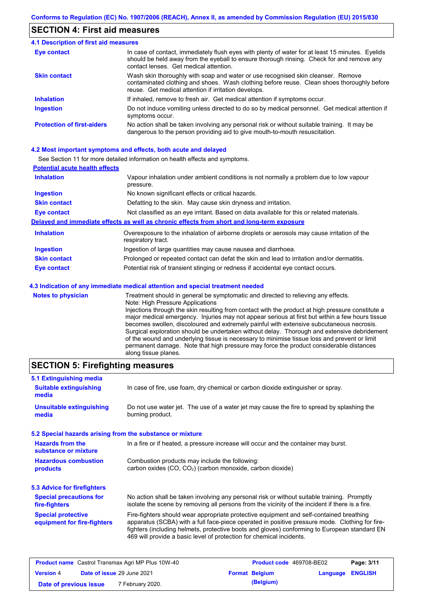## **SECTION 4: First aid measures**

#### Do not induce vomiting unless directed to do so by medical personnel. Get medical attention if symptoms occur. In case of contact, immediately flush eyes with plenty of water for at least 15 minutes. Eyelids should be held away from the eyeball to ensure thorough rinsing. Check for and remove any contact lenses. Get medical attention. **4.1 Description of first aid measures** If inhaled, remove to fresh air. Get medical attention if symptoms occur. **Ingestion Inhalation Eye contact Protection of first-aiders** No action shall be taken involving any personal risk or without suitable training. It may be dangerous to the person providing aid to give mouth-to-mouth resuscitation. **Skin contact** Wash skin thoroughly with soap and water or use recognised skin cleanser. Remove contaminated clothing and shoes. Wash clothing before reuse. Clean shoes thoroughly before reuse. Get medical attention if irritation develops.

#### **4.2 Most important symptoms and effects, both acute and delayed**

See Section 11 for more detailed information on health effects and symptoms.

| <b>Potential acute health effects</b> |                                                                                                                   |
|---------------------------------------|-------------------------------------------------------------------------------------------------------------------|
| <b>Inhalation</b>                     | Vapour inhalation under ambient conditions is not normally a problem due to low vapour<br>pressure.               |
| <b>Ingestion</b>                      | No known significant effects or critical hazards.                                                                 |
| <b>Skin contact</b>                   | Defatting to the skin. May cause skin dryness and irritation.                                                     |
| <b>Eye contact</b>                    | Not classified as an eye irritant. Based on data available for this or related materials.                         |
|                                       | Delayed and immediate effects as well as chronic effects from short and long-term exposure                        |
| <b>Inhalation</b>                     | Overexposure to the inhalation of airborne droplets or aerosols may cause irritation of the<br>respiratory tract. |
| <b>Ingestion</b>                      | Ingestion of large quantities may cause nausea and diarrhoea.                                                     |
| <b>Skin contact</b>                   | Prolonged or repeated contact can defat the skin and lead to irritation and/or dermatitis.                        |
| Eye contact                           | Potential risk of transient stinging or redness if accidental eye contact occurs.                                 |
|                                       | 4.3 Indication of any immediate medical attention and special treatment needed                                    |
| Notes to physician                    | Treatment should in general he symptomatic and directed to relieving any effects                                  |

| <b>Notes to physician</b> | Treatment should in general be symptomatic and directed to relieving any effects.                 |
|---------------------------|---------------------------------------------------------------------------------------------------|
|                           | Note: High Pressure Applications                                                                  |
|                           | Injections through the skin resulting from contact with the product at high pressure constitute a |
|                           | major medical emergency. Injuries may not appear serious at first but within a few hours tissue   |
|                           | becomes swollen, discoloured and extremely painful with extensive subcutaneous necrosis.          |
|                           | Surgical exploration should be undertaken without delay. Thorough and extensive debridement       |
|                           | of the wound and underlying tissue is necessary to minimise tissue loss and prevent or limit      |
|                           | permanent damage. Note that high pressure may force the product considerable distances            |
|                           | along tissue planes.                                                                              |

## **SECTION 5: Firefighting measures**

| 5.1 Extinguishing media                                                                                                    |                                                                                                                                                                                                                                                                                                                                                                   |  |
|----------------------------------------------------------------------------------------------------------------------------|-------------------------------------------------------------------------------------------------------------------------------------------------------------------------------------------------------------------------------------------------------------------------------------------------------------------------------------------------------------------|--|
| In case of fire, use foam, dry chemical or carbon dioxide extinguisher or spray.<br><b>Suitable extinguishing</b><br>media |                                                                                                                                                                                                                                                                                                                                                                   |  |
| <b>Unsuitable extinguishing</b><br>media                                                                                   | Do not use water jet. The use of a water jet may cause the fire to spread by splashing the<br>burning product.                                                                                                                                                                                                                                                    |  |
| 5.2 Special hazards arising from the substance or mixture                                                                  |                                                                                                                                                                                                                                                                                                                                                                   |  |
| <b>Hazards from the</b><br>substance or mixture                                                                            | In a fire or if heated, a pressure increase will occur and the container may burst.                                                                                                                                                                                                                                                                               |  |
| <b>Hazardous combustion</b><br>products                                                                                    | Combustion products may include the following:<br>carbon oxides (CO, CO <sub>2</sub> ) (carbon monoxide, carbon dioxide)                                                                                                                                                                                                                                          |  |
| 5.3 Advice for firefighters                                                                                                |                                                                                                                                                                                                                                                                                                                                                                   |  |
| <b>Special precautions for</b><br>fire-fighters                                                                            | No action shall be taken involving any personal risk or without suitable training. Promptly<br>isolate the scene by removing all persons from the vicinity of the incident if there is a fire.                                                                                                                                                                    |  |
| <b>Special protective</b><br>equipment for fire-fighters                                                                   | Fire-fighters should wear appropriate protective equipment and self-contained breathing<br>apparatus (SCBA) with a full face-piece operated in positive pressure mode. Clothing for fire-<br>fighters (including helmets, protective boots and gloves) conforming to European standard EN<br>469 will provide a basic level of protection for chemical incidents. |  |

| <b>Product name</b> Castrol Transmax Agri MP Plus 10W-40 |  |                             | <b>Product code</b> 469708-BE02 |                       | Page: 3/11              |  |
|----------------------------------------------------------|--|-----------------------------|---------------------------------|-----------------------|-------------------------|--|
| <b>Version 4</b>                                         |  | Date of issue 29 June 2021  |                                 | <b>Format Belgium</b> | <b>Language ENGLISH</b> |  |
| Date of previous issue                                   |  | <sup>7</sup> February 2020. |                                 | (Belgium)             |                         |  |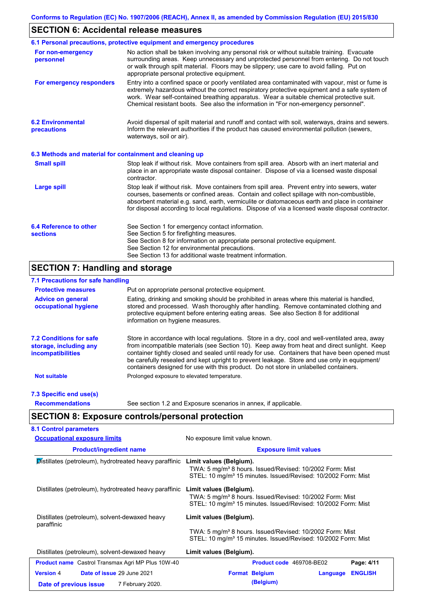## **SECTION 6: Accidental release measures**

|                                                          | 6.1 Personal precautions, protective equipment and emergency procedures                                                                                                                                                                                                                                                                                                                        |  |  |  |  |
|----------------------------------------------------------|------------------------------------------------------------------------------------------------------------------------------------------------------------------------------------------------------------------------------------------------------------------------------------------------------------------------------------------------------------------------------------------------|--|--|--|--|
| For non-emergency<br>personnel                           | No action shall be taken involving any personal risk or without suitable training. Evacuate<br>surrounding areas. Keep unnecessary and unprotected personnel from entering. Do not touch<br>or walk through spilt material. Floors may be slippery; use care to avoid falling. Put on<br>appropriate personal protective equipment.                                                            |  |  |  |  |
| For emergency responders                                 | Entry into a confined space or poorly ventilated area contaminated with vapour, mist or fume is<br>extremely hazardous without the correct respiratory protective equipment and a safe system of<br>work. Wear self-contained breathing apparatus. Wear a suitable chemical protective suit.<br>Chemical resistant boots. See also the information in "For non-emergency personnel".           |  |  |  |  |
| <b>6.2 Environmental</b><br>precautions                  | Avoid dispersal of spilt material and runoff and contact with soil, waterways, drains and sewers.<br>Inform the relevant authorities if the product has caused environmental pollution (sewers,<br>waterways, soil or air).                                                                                                                                                                    |  |  |  |  |
| 6.3 Methods and material for containment and cleaning up |                                                                                                                                                                                                                                                                                                                                                                                                |  |  |  |  |
| <b>Small spill</b>                                       | Stop leak if without risk. Move containers from spill area. Absorb with an inert material and<br>place in an appropriate waste disposal container. Dispose of via a licensed waste disposal<br>contractor.                                                                                                                                                                                     |  |  |  |  |
| <b>Large spill</b>                                       | Stop leak if without risk. Move containers from spill area. Prevent entry into sewers, water<br>courses, basements or confined areas. Contain and collect spillage with non-combustible,<br>absorbent material e.g. sand, earth, vermiculite or diatomaceous earth and place in container<br>for disposal according to local regulations. Dispose of via a licensed waste disposal contractor. |  |  |  |  |
| 6.4 Reference to other<br><b>sections</b>                | See Section 1 for emergency contact information.<br>See Section 5 for firefighting measures.<br>See Section 8 for information on appropriate personal protective equipment.<br>See Section 12 for environmental precautions.<br>See Section 13 for additional waste treatment information.                                                                                                     |  |  |  |  |

## **SECTION 7: Handling and storage**

## **7.1 Precautions for safe handling**

| <b>Protective measures</b>                                                           | Put on appropriate personal protective equipment.                                                                                                                                                                                                                                                                                                                                                                                                                                        |
|--------------------------------------------------------------------------------------|------------------------------------------------------------------------------------------------------------------------------------------------------------------------------------------------------------------------------------------------------------------------------------------------------------------------------------------------------------------------------------------------------------------------------------------------------------------------------------------|
| <b>Advice on general</b><br>occupational hygiene                                     | Eating, drinking and smoking should be prohibited in areas where this material is handled,<br>stored and processed. Wash thoroughly after handling. Remove contaminated clothing and<br>protective equipment before entering eating areas. See also Section 8 for additional<br>information on hygiene measures.                                                                                                                                                                         |
| <b>7.2 Conditions for safe</b><br>storage, including any<br><i>incompatibilities</i> | Store in accordance with local requiations. Store in a dry, cool and well-ventilated area, away<br>from incompatible materials (see Section 10). Keep away from heat and direct sunlight. Keep<br>container tightly closed and sealed until ready for use. Containers that have been opened must<br>be carefully resealed and kept upright to prevent leakage. Store and use only in equipment/<br>containers designed for use with this product. Do not store in unlabelled containers. |
| <b>Not suitable</b>                                                                  | Prolonged exposure to elevated temperature.                                                                                                                                                                                                                                                                                                                                                                                                                                              |
| 7.3 Specific end use(s)                                                              |                                                                                                                                                                                                                                                                                                                                                                                                                                                                                          |
| <b>Recommendations</b>                                                               | See section 1.2 and Exposure scenarios in annex, if applicable.                                                                                                                                                                                                                                                                                                                                                                                                                          |

# **SECTION 8: Exposure controls/personal protection**

| <b>Occupational exposure limits</b>                          | No exposure limit value known.                                                                                                                                               |
|--------------------------------------------------------------|------------------------------------------------------------------------------------------------------------------------------------------------------------------------------|
| <b>Product/ingredient name</b>                               | <b>Exposure limit values</b>                                                                                                                                                 |
| Distillates (petroleum), hydrotreated heavy paraffinic       | Limit values (Belgium).<br>TWA: 5 mg/m <sup>3</sup> 8 hours. Issued/Revised: 10/2002 Form: Mist<br>STEL: 10 mg/m <sup>3</sup> 15 minutes. Issued/Revised: 10/2002 Form: Mist |
| Distillates (petroleum), hydrotreated heavy paraffinic       | Limit values (Belgium).<br>TWA: 5 mg/m <sup>3</sup> 8 hours. Issued/Revised: 10/2002 Form: Mist<br>STEL: 10 mg/m <sup>3</sup> 15 minutes. Issued/Revised: 10/2002 Form: Mist |
| Distillates (petroleum), solvent-dewaxed heavy<br>paraffinic | Limit values (Belgium).                                                                                                                                                      |
|                                                              | TWA: 5 mg/m <sup>3</sup> 8 hours. Issued/Revised: 10/2002 Form: Mist<br>STEL: 10 mg/m <sup>3</sup> 15 minutes. Issued/Revised: 10/2002 Form: Mist                            |
| Distillates (petroleum), solvent-dewaxed heavy               | Limit values (Belgium).                                                                                                                                                      |
| <b>Product name</b> Castrol Transmax Agri MP Plus 10W-40     | Page: 4/11<br><b>Product code</b> 469708-BE02                                                                                                                                |
| Date of issue 29 June 2021<br><b>Version 4</b>               | <b>ENGLISH</b><br><b>Format Belgium</b><br>Language                                                                                                                          |
| 7 February 2020.<br>Date of previous issue                   | (Belgium)                                                                                                                                                                    |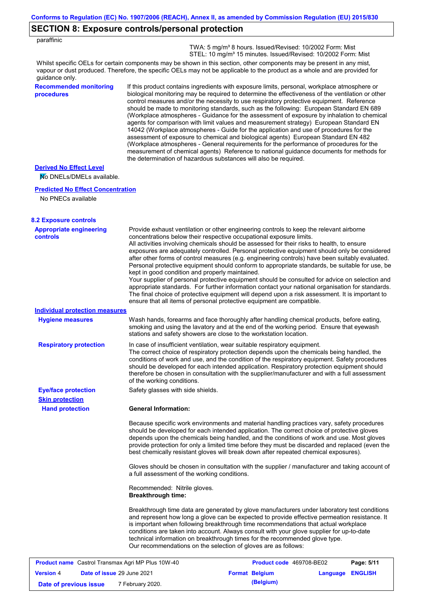|                                                                | Conforms to Regulation (EC) No. 1907/2006 (REACH), Annex II, as amended by Commission Regulation (EU) 2015/830                                                                                                                                                                                                                                                                                                                                                                                                                                                                                                                                                                                                                                                                                                                                                                                                                                                                                                             |
|----------------------------------------------------------------|----------------------------------------------------------------------------------------------------------------------------------------------------------------------------------------------------------------------------------------------------------------------------------------------------------------------------------------------------------------------------------------------------------------------------------------------------------------------------------------------------------------------------------------------------------------------------------------------------------------------------------------------------------------------------------------------------------------------------------------------------------------------------------------------------------------------------------------------------------------------------------------------------------------------------------------------------------------------------------------------------------------------------|
|                                                                | <b>SECTION 8: Exposure controls/personal protection</b>                                                                                                                                                                                                                                                                                                                                                                                                                                                                                                                                                                                                                                                                                                                                                                                                                                                                                                                                                                    |
| paraffinic                                                     | TWA: 5 mg/m <sup>3</sup> 8 hours. Issued/Revised: 10/2002 Form: Mist                                                                                                                                                                                                                                                                                                                                                                                                                                                                                                                                                                                                                                                                                                                                                                                                                                                                                                                                                       |
|                                                                | STEL: 10 mg/m <sup>3</sup> 15 minutes. Issued/Revised: 10/2002 Form: Mist                                                                                                                                                                                                                                                                                                                                                                                                                                                                                                                                                                                                                                                                                                                                                                                                                                                                                                                                                  |
| guidance only.                                                 | Whilst specific OELs for certain components may be shown in this section, other components may be present in any mist,<br>vapour or dust produced. Therefore, the specific OELs may not be applicable to the product as a whole and are provided for                                                                                                                                                                                                                                                                                                                                                                                                                                                                                                                                                                                                                                                                                                                                                                       |
| <b>Recommended monitoring</b><br>procedures                    | If this product contains ingredients with exposure limits, personal, workplace atmosphere or<br>biological monitoring may be required to determine the effectiveness of the ventilation or other<br>control measures and/or the necessity to use respiratory protective equipment. Reference<br>should be made to monitoring standards, such as the following: European Standard EN 689<br>(Workplace atmospheres - Guidance for the assessment of exposure by inhalation to chemical<br>agents for comparison with limit values and measurement strategy) European Standard EN<br>14042 (Workplace atmospheres - Guide for the application and use of procedures for the<br>assessment of exposure to chemical and biological agents) European Standard EN 482<br>(Workplace atmospheres - General requirements for the performance of procedures for the<br>measurement of chemical agents) Reference to national guidance documents for methods for<br>the determination of hazardous substances will also be required. |
| <b>Derived No Effect Level</b><br>No DNELs/DMELs available.    |                                                                                                                                                                                                                                                                                                                                                                                                                                                                                                                                                                                                                                                                                                                                                                                                                                                                                                                                                                                                                            |
| <b>Predicted No Effect Concentration</b><br>No PNECs available |                                                                                                                                                                                                                                                                                                                                                                                                                                                                                                                                                                                                                                                                                                                                                                                                                                                                                                                                                                                                                            |
| <b>8.2 Exposure controls</b>                                   |                                                                                                                                                                                                                                                                                                                                                                                                                                                                                                                                                                                                                                                                                                                                                                                                                                                                                                                                                                                                                            |
| <b>Appropriate engineering</b><br>controls                     | Provide exhaust ventilation or other engineering controls to keep the relevant airborne<br>concentrations below their respective occupational exposure limits.<br>All activities involving chemicals should be assessed for their risks to health, to ensure<br>exposures are adequately controlled. Personal protective equipment should only be considered<br>after other forms of control measures (e.g. engineering controls) have been suitably evaluated.<br>Personal protective equipment should conform to appropriate standards, be suitable for use, be<br>kept in good condition and properly maintained.<br>Your supplier of personal protective equipment should be consulted for advice on selection and<br>appropriate standards. For further information contact your national organisation for standards.<br>The final choice of protective equipment will depend upon a risk assessment. It is important to<br>ensure that all items of personal protective equipment are compatible.                    |
| <b>Individual protection measures</b>                          |                                                                                                                                                                                                                                                                                                                                                                                                                                                                                                                                                                                                                                                                                                                                                                                                                                                                                                                                                                                                                            |
| <b>Hygiene measures</b>                                        | Wash hands, forearms and face thoroughly after handling chemical products, before eating,<br>smoking and using the lavatory and at the end of the working period. Ensure that eyewash<br>stations and safety showers are close to the workstation location.                                                                                                                                                                                                                                                                                                                                                                                                                                                                                                                                                                                                                                                                                                                                                                |
| <b>Respiratory protection</b>                                  | In case of insufficient ventilation, wear suitable respiratory equipment.<br>The correct choice of respiratory protection depends upon the chemicals being handled, the<br>conditions of work and use, and the condition of the respiratory equipment. Safety procedures<br>should be developed for each intended application. Respiratory protection equipment should<br>therefore be chosen in consultation with the supplier/manufacturer and with a full assessment<br>of the working conditions.                                                                                                                                                                                                                                                                                                                                                                                                                                                                                                                      |
| <b>Eye/face protection</b>                                     | Safety glasses with side shields.                                                                                                                                                                                                                                                                                                                                                                                                                                                                                                                                                                                                                                                                                                                                                                                                                                                                                                                                                                                          |
| <b>Skin protection</b>                                         |                                                                                                                                                                                                                                                                                                                                                                                                                                                                                                                                                                                                                                                                                                                                                                                                                                                                                                                                                                                                                            |
| <b>Hand protection</b>                                         | <b>General Information:</b>                                                                                                                                                                                                                                                                                                                                                                                                                                                                                                                                                                                                                                                                                                                                                                                                                                                                                                                                                                                                |
|                                                                | Because specific work environments and material handling practices vary, safety procedures<br>should be developed for each intended application. The correct choice of protective gloves<br>depends upon the chemicals being handled, and the conditions of work and use. Most gloves<br>provide protection for only a limited time before they must be discarded and replaced (even the<br>best chemically resistant gloves will break down after repeated chemical exposures).                                                                                                                                                                                                                                                                                                                                                                                                                                                                                                                                           |
|                                                                | Gloves should be chosen in consultation with the supplier / manufacturer and taking account of<br>a full assessment of the working conditions.                                                                                                                                                                                                                                                                                                                                                                                                                                                                                                                                                                                                                                                                                                                                                                                                                                                                             |
|                                                                | Recommended: Nitrile gloves.<br><b>Breakthrough time:</b>                                                                                                                                                                                                                                                                                                                                                                                                                                                                                                                                                                                                                                                                                                                                                                                                                                                                                                                                                                  |
|                                                                | Breakthrough time data are generated by glove manufacturers under laboratory test conditions<br>and represent how long a glove can be expected to provide effective permeation resistance. It                                                                                                                                                                                                                                                                                                                                                                                                                                                                                                                                                                                                                                                                                                                                                                                                                              |

is important when following breakthrough time recommendations that actual workplace conditions are taken into account. Always consult with your glove supplier for up-to-date technical information on breakthrough times for the recommended glove type. Our recommendations on the selection of gloves are as follows:

| <b>Product name</b> Castrol Transmax Agri MP Plus 10W-40 |  | <b>Product code</b> 469708-BE02   |  | Page: 5/11            |                         |  |
|----------------------------------------------------------|--|-----------------------------------|--|-----------------------|-------------------------|--|
| <b>Version 4</b>                                         |  | <b>Date of issue 29 June 2021</b> |  | <b>Format Belgium</b> | <b>Language ENGLISH</b> |  |
| Date of previous issue                                   |  | 7 February 2020.                  |  | (Belgium)             |                         |  |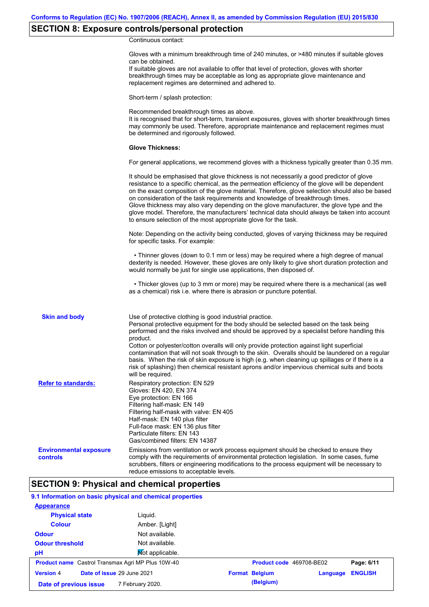# **SECTION 8: Exposure controls/personal protection**

Continuous contact:

|                                           | Gloves with a minimum breakthrough time of 240 minutes, or >480 minutes if suitable gloves<br>can be obtained.<br>If suitable gloves are not available to offer that level of protection, gloves with shorter<br>breakthrough times may be acceptable as long as appropriate glove maintenance and<br>replacement regimes are determined and adhered to.                                                                                                                                                                                                                                                                                                                              |
|-------------------------------------------|---------------------------------------------------------------------------------------------------------------------------------------------------------------------------------------------------------------------------------------------------------------------------------------------------------------------------------------------------------------------------------------------------------------------------------------------------------------------------------------------------------------------------------------------------------------------------------------------------------------------------------------------------------------------------------------|
|                                           | Short-term / splash protection:                                                                                                                                                                                                                                                                                                                                                                                                                                                                                                                                                                                                                                                       |
|                                           | Recommended breakthrough times as above.<br>It is recognised that for short-term, transient exposures, gloves with shorter breakthrough times<br>may commonly be used. Therefore, appropriate maintenance and replacement regimes must<br>be determined and rigorously followed.                                                                                                                                                                                                                                                                                                                                                                                                      |
|                                           | <b>Glove Thickness:</b>                                                                                                                                                                                                                                                                                                                                                                                                                                                                                                                                                                                                                                                               |
|                                           | For general applications, we recommend gloves with a thickness typically greater than 0.35 mm.                                                                                                                                                                                                                                                                                                                                                                                                                                                                                                                                                                                        |
|                                           | It should be emphasised that glove thickness is not necessarily a good predictor of glove<br>resistance to a specific chemical, as the permeation efficiency of the glove will be dependent<br>on the exact composition of the glove material. Therefore, glove selection should also be based<br>on consideration of the task requirements and knowledge of breakthrough times.<br>Glove thickness may also vary depending on the glove manufacturer, the glove type and the<br>glove model. Therefore, the manufacturers' technical data should always be taken into account<br>to ensure selection of the most appropriate glove for the task.                                     |
|                                           | Note: Depending on the activity being conducted, gloves of varying thickness may be required<br>for specific tasks. For example:                                                                                                                                                                                                                                                                                                                                                                                                                                                                                                                                                      |
|                                           | • Thinner gloves (down to 0.1 mm or less) may be required where a high degree of manual<br>dexterity is needed. However, these gloves are only likely to give short duration protection and<br>would normally be just for single use applications, then disposed of.                                                                                                                                                                                                                                                                                                                                                                                                                  |
|                                           | • Thicker gloves (up to 3 mm or more) may be required where there is a mechanical (as well<br>as a chemical) risk i.e. where there is abrasion or puncture potential.                                                                                                                                                                                                                                                                                                                                                                                                                                                                                                                 |
| <b>Skin and body</b>                      | Use of protective clothing is good industrial practice.<br>Personal protective equipment for the body should be selected based on the task being<br>performed and the risks involved and should be approved by a specialist before handling this<br>product.<br>Cotton or polyester/cotton overalls will only provide protection against light superficial<br>contamination that will not soak through to the skin. Overalls should be laundered on a regular<br>basis. When the risk of skin exposure is high (e.g. when cleaning up spillages or if there is a<br>risk of splashing) then chemical resistant aprons and/or impervious chemical suits and boots<br>will be required. |
| <b>Refer to standards:</b>                | Respiratory protection: EN 529<br>Gloves: EN 420, EN 374<br>Eye protection: EN 166<br>Filtering half-mask: EN 149<br>Filtering half-mask with valve: EN 405<br>Half-mask: EN 140 plus filter<br>Full-face mask: EN 136 plus filter<br>Particulate filters: EN 143<br>Gas/combined filters: EN 14387                                                                                                                                                                                                                                                                                                                                                                                   |
| <b>Environmental exposure</b><br>controls | Emissions from ventilation or work process equipment should be checked to ensure they<br>comply with the requirements of environmental protection legislation. In some cases, fume<br>scrubbers, filters or engineering modifications to the process equipment will be necessary to<br>reduce emissions to acceptable levels.                                                                                                                                                                                                                                                                                                                                                         |

## **SECTION 9: Physical and chemical properties**

## **9.1 Information on basic physical and chemical properties**

| <b>Appearance</b>                                        |                            |                                   |                |
|----------------------------------------------------------|----------------------------|-----------------------------------|----------------|
| <b>Physical state</b>                                    | Liguid.                    |                                   |                |
| <b>Colour</b>                                            | Amber. [Light]             |                                   |                |
| <b>Odour</b>                                             | Not available.             |                                   |                |
| <b>Odour threshold</b>                                   | Not available.             |                                   |                |
| pH                                                       | Not applicable.            |                                   |                |
| <b>Product name</b> Castrol Transmax Agri MP Plus 10W-40 |                            | Product code 469708-BE02          | Page: 6/11     |
| <b>Version 4</b>                                         | Date of issue 29 June 2021 | <b>Format Belgium</b><br>Language | <b>ENGLISH</b> |
| Date of previous issue                                   | 7 February 2020.           | (Belgium)                         |                |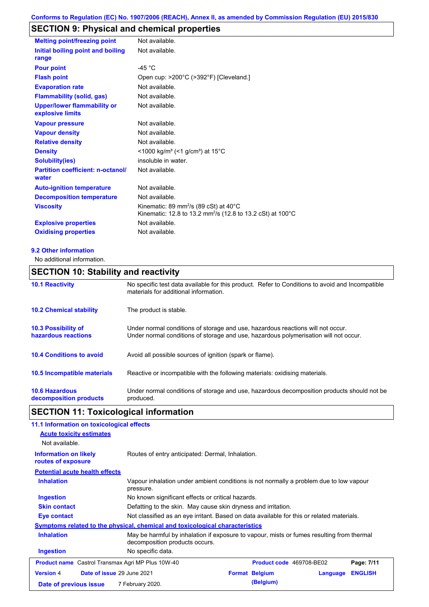# **SECTION 9: Physical and chemical properties**

| <b>Melting point/freezing point</b>                    | Not available.                                                                                                                         |
|--------------------------------------------------------|----------------------------------------------------------------------------------------------------------------------------------------|
| Initial boiling point and boiling<br>range             | Not available.                                                                                                                         |
| <b>Pour point</b>                                      | -45 $^{\circ}$ C                                                                                                                       |
| <b>Flash point</b>                                     | Open cup: >200°C (>392°F) [Cleveland.]                                                                                                 |
| <b>Evaporation rate</b>                                | Not available.                                                                                                                         |
| <b>Flammability (solid, gas)</b>                       | Not available.                                                                                                                         |
| <b>Upper/lower flammability or</b><br>explosive limits | Not available.                                                                                                                         |
| <b>Vapour pressure</b>                                 | Not available.                                                                                                                         |
| <b>Vapour density</b>                                  | Not available.                                                                                                                         |
| <b>Relative density</b>                                | Not available.                                                                                                                         |
| <b>Density</b>                                         | <1000 kg/m <sup>3</sup> (<1 g/cm <sup>3</sup> ) at 15 <sup>°</sup> C                                                                   |
| <b>Solubility(ies)</b>                                 | insoluble in water.                                                                                                                    |
| <b>Partition coefficient: n-octanol/</b><br>water      | Not available.                                                                                                                         |
| <b>Auto-ignition temperature</b>                       | Not available.                                                                                                                         |
| <b>Decomposition temperature</b>                       | Not available.                                                                                                                         |
| <b>Viscosity</b>                                       | Kinematic: 89 mm <sup>2</sup> /s (89 cSt) at $40^{\circ}$ C<br>Kinematic: 12.8 to 13.2 mm <sup>2</sup> /s (12.8 to 13.2 cSt) at 100 °C |
| <b>Explosive properties</b>                            | Not available.                                                                                                                         |
| <b>Oxidising properties</b>                            | Not available.                                                                                                                         |

#### **9.2 Other information**

No additional information.

## **SECTION 10: Stability and reactivity**

| <b>10.1 Reactivity</b>                            | No specific test data available for this product. Refer to Conditions to avoid and Incompatible<br>materials for additional information.                                |
|---------------------------------------------------|-------------------------------------------------------------------------------------------------------------------------------------------------------------------------|
| <b>10.2 Chemical stability</b>                    | The product is stable.                                                                                                                                                  |
| <b>10.3 Possibility of</b><br>hazardous reactions | Under normal conditions of storage and use, hazardous reactions will not occur.<br>Under normal conditions of storage and use, hazardous polymerisation will not occur. |
| <b>10.4 Conditions to avoid</b>                   | Avoid all possible sources of ignition (spark or flame).                                                                                                                |
| <b>10.5 Incompatible materials</b>                | Reactive or incompatible with the following materials: oxidising materials.                                                                                             |
| <b>10.6 Hazardous</b><br>decomposition products   | Under normal conditions of storage and use, hazardous decomposition products should not be<br>produced.                                                                 |

# **SECTION 11: Toxicological information**

| 11.1 Information on toxicological effects                                    |                                                                                                                             |                                                   |                          |          |                |
|------------------------------------------------------------------------------|-----------------------------------------------------------------------------------------------------------------------------|---------------------------------------------------|--------------------------|----------|----------------|
| <b>Acute toxicity estimates</b>                                              |                                                                                                                             |                                                   |                          |          |                |
| Not available.                                                               |                                                                                                                             |                                                   |                          |          |                |
| <b>Information on likely</b><br>routes of exposure                           | Routes of entry anticipated: Dermal, Inhalation.                                                                            |                                                   |                          |          |                |
| <b>Potential acute health effects</b>                                        |                                                                                                                             |                                                   |                          |          |                |
| <b>Inhalation</b>                                                            | Vapour inhalation under ambient conditions is not normally a problem due to low vapour<br>pressure.                         |                                                   |                          |          |                |
| <b>Ingestion</b>                                                             |                                                                                                                             | No known significant effects or critical hazards. |                          |          |                |
| <b>Skin contact</b>                                                          | Defatting to the skin. May cause skin dryness and irritation.                                                               |                                                   |                          |          |                |
| Eye contact                                                                  | Not classified as an eye irritant. Based on data available for this or related materials.                                   |                                                   |                          |          |                |
| Symptoms related to the physical, chemical and toxicological characteristics |                                                                                                                             |                                                   |                          |          |                |
| <b>Inhalation</b>                                                            | May be harmful by inhalation if exposure to vapour, mists or fumes resulting from thermal<br>decomposition products occurs. |                                                   |                          |          |                |
| <b>Ingestion</b>                                                             | No specific data.                                                                                                           |                                                   |                          |          |                |
| <b>Product name</b> Castrol Transmax Agri MP Plus 10W-40                     |                                                                                                                             |                                                   | Product code 469708-BE02 |          | Page: 7/11     |
| Date of issue 29 June 2021<br><b>Version 4</b>                               |                                                                                                                             |                                                   | <b>Format Belgium</b>    | Language | <b>ENGLISH</b> |
| Date of previous issue                                                       | 7 February 2020.                                                                                                            |                                                   | (Belgium)                |          |                |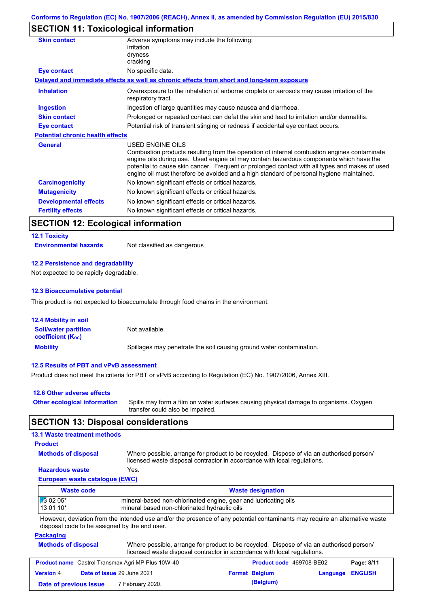# **SECTION 11: Toxicological information**

| Adverse symptoms may include the following:<br>irritation                                                                                                                                                                                                                                                                                                                                                |
|----------------------------------------------------------------------------------------------------------------------------------------------------------------------------------------------------------------------------------------------------------------------------------------------------------------------------------------------------------------------------------------------------------|
| dryness                                                                                                                                                                                                                                                                                                                                                                                                  |
| cracking                                                                                                                                                                                                                                                                                                                                                                                                 |
| No specific data.                                                                                                                                                                                                                                                                                                                                                                                        |
| Delayed and immediate effects as well as chronic effects from short and long-term exposure                                                                                                                                                                                                                                                                                                               |
| Overexposure to the inhalation of airborne droplets or aerosols may cause irritation of the<br>respiratory tract.                                                                                                                                                                                                                                                                                        |
| Ingestion of large quantities may cause nausea and diarrhoea.                                                                                                                                                                                                                                                                                                                                            |
| Prolonged or repeated contact can defat the skin and lead to irritation and/or dermatitis.                                                                                                                                                                                                                                                                                                               |
| Potential risk of transient stinging or redness if accidental eye contact occurs.                                                                                                                                                                                                                                                                                                                        |
| <b>Potential chronic health effects</b>                                                                                                                                                                                                                                                                                                                                                                  |
| USED ENGINE OILS<br>Combustion products resulting from the operation of internal combustion engines contaminate<br>engine oils during use. Used engine oil may contain hazardous components which have the<br>potential to cause skin cancer. Frequent or prolonged contact with all types and makes of used<br>engine oil must therefore be avoided and a high standard of personal hygiene maintained. |
| No known significant effects or critical hazards.                                                                                                                                                                                                                                                                                                                                                        |
| No known significant effects or critical hazards.                                                                                                                                                                                                                                                                                                                                                        |
| No known significant effects or critical hazards.                                                                                                                                                                                                                                                                                                                                                        |
| No known significant effects or critical hazards.                                                                                                                                                                                                                                                                                                                                                        |
|                                                                                                                                                                                                                                                                                                                                                                                                          |

## **SECTION 12: Ecological information**

#### **12.1 Toxicity**

**Environmental hazards** Not classified as dangerous

#### **12.2 Persistence and degradability**

Not expected to be rapidly degradable.

#### **12.3 Bioaccumulative potential**

This product is not expected to bioaccumulate through food chains in the environment.

| <b>12.4 Mobility in soil</b>                            |                                                                      |
|---------------------------------------------------------|----------------------------------------------------------------------|
| <b>Soil/water partition</b><br><b>coefficient (Koc)</b> | Not available.                                                       |
| <b>Mobility</b>                                         | Spillages may penetrate the soil causing ground water contamination. |

#### **12.5 Results of PBT and vPvB assessment**

Product does not meet the criteria for PBT or vPvB according to Regulation (EC) No. 1907/2006, Annex XIII.

| 12.6 Other adverse effects          |                                                                                                                           |
|-------------------------------------|---------------------------------------------------------------------------------------------------------------------------|
| <b>Other ecological information</b> | Spills may form a film on water surfaces causing physical damage to organisms. Oxygen<br>transfer could also be impaired. |

## **SECTION 13: Disposal considerations**

## **13.1 Waste treatment methods**

#### **Product**

**Methods of disposal**

Where possible, arrange for product to be recycled. Dispose of via an authorised person/

#### **Hazardous waste** Yes.

licensed waste disposal contractor in accordance with local regulations.

## **European waste catalogue (EWC)**

| <b>Waste code</b>  | <b>Waste designation</b>                                        |
|--------------------|-----------------------------------------------------------------|
| $\sqrt{13}$ 02 05* | mineral-based non-chlorinated engine, gear and lubricating oils |
| $130110*$          | mineral based non-chlorinated hydraulic oils                    |

However, deviation from the intended use and/or the presence of any potential contaminants may require an alternative waste disposal code to be assigned by the end user.

#### **Packaging**

| <b>Methods of disposal</b> | Where possible, arrange for product to be recycled. Dispose of via an authorised person/ |
|----------------------------|------------------------------------------------------------------------------------------|
|                            | licensed waste disposal contractor in accordance with local regulations.                 |

| <b>Product name</b> Castrol Transmax Agri MP Plus 10W-40 |  | <b>Product code</b> 469708-BE02   |  | Page: 8/11            |                         |  |
|----------------------------------------------------------|--|-----------------------------------|--|-----------------------|-------------------------|--|
| <b>Version 4</b>                                         |  | <b>Date of issue 29 June 2021</b> |  | <b>Format Belgium</b> | <b>Language ENGLISH</b> |  |
| Date of previous issue                                   |  | 7 February 2020.                  |  | (Belgium)             |                         |  |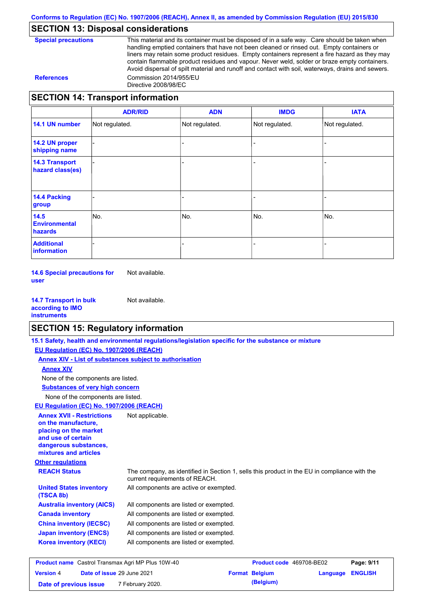## **SECTION 13: Disposal considerations**

| <b>Special precautions</b> |
|----------------------------|
|----------------------------|

This material and its container must be disposed of in a safe way. Care should be taken when handling emptied containers that have not been cleaned or rinsed out. Empty containers or liners may retain some product residues. Empty containers represent a fire hazard as they may contain flammable product residues and vapour. Never weld, solder or braze empty containers. Avoid dispersal of spilt material and runoff and contact with soil, waterways, drains and sewers. **References** Commission 2014/955/EU Directive 2008/98/EC

## **SECTION 14: Transport information**

|                                           | <b>ADR/RID</b> | <b>ADN</b>     | <b>IMDG</b>    | <b>IATA</b>    |
|-------------------------------------------|----------------|----------------|----------------|----------------|
| 14.1 UN number                            | Not regulated. | Not regulated. | Not regulated. | Not regulated. |
| 14.2 UN proper<br>shipping name           |                |                |                |                |
| <b>14.3 Transport</b><br>hazard class(es) |                |                |                |                |
| <b>14.4 Packing</b><br>group              |                |                |                |                |
| 14.5<br><b>Environmental</b><br>hazards   | No.            | No.            | No.            | No.            |
| <b>Additional</b><br>information          |                |                |                |                |

**14.6 Special precautions for user** Not available.

**14.7 Transport in bulk according to IMO instruments** Not available.

## **SECTION 15: Regulatory information**

|                                                                                                                                                          | 15.1 Safety, health and environmental regulations/legislation specific for the substance or mixture                            |                          |          |                |
|----------------------------------------------------------------------------------------------------------------------------------------------------------|--------------------------------------------------------------------------------------------------------------------------------|--------------------------|----------|----------------|
| EU Regulation (EC) No. 1907/2006 (REACH)                                                                                                                 |                                                                                                                                |                          |          |                |
|                                                                                                                                                          | Annex XIV - List of substances subject to authorisation                                                                        |                          |          |                |
| <b>Annex XIV</b>                                                                                                                                         |                                                                                                                                |                          |          |                |
| None of the components are listed.                                                                                                                       |                                                                                                                                |                          |          |                |
| <b>Substances of very high concern</b>                                                                                                                   |                                                                                                                                |                          |          |                |
| None of the components are listed.                                                                                                                       |                                                                                                                                |                          |          |                |
| EU Regulation (EC) No. 1907/2006 (REACH)                                                                                                                 |                                                                                                                                |                          |          |                |
| <b>Annex XVII - Restrictions</b><br>on the manufacture.<br>placing on the market<br>and use of certain<br>dangerous substances,<br>mixtures and articles | Not applicable.                                                                                                                |                          |          |                |
| <b>Other regulations</b>                                                                                                                                 |                                                                                                                                |                          |          |                |
| <b>REACH Status</b>                                                                                                                                      | The company, as identified in Section 1, sells this product in the EU in compliance with the<br>current requirements of REACH. |                          |          |                |
| <b>United States inventory</b><br>(TSCA 8b)                                                                                                              | All components are active or exempted.                                                                                         |                          |          |                |
| <b>Australia inventory (AICS)</b>                                                                                                                        | All components are listed or exempted.                                                                                         |                          |          |                |
| <b>Canada inventory</b>                                                                                                                                  | All components are listed or exempted.                                                                                         |                          |          |                |
| <b>China inventory (IECSC)</b>                                                                                                                           | All components are listed or exempted.                                                                                         |                          |          |                |
| <b>Japan inventory (ENCS)</b>                                                                                                                            | All components are listed or exempted.                                                                                         |                          |          |                |
| <b>Korea inventory (KECI)</b>                                                                                                                            | All components are listed or exempted.                                                                                         |                          |          |                |
| <b>Product name</b> Castrol Transmax Agri MP Plus 10W-40                                                                                                 |                                                                                                                                | Product code 469708-BE02 |          | Page: 9/11     |
| Date of issue 29 June 2021<br><b>Version 4</b>                                                                                                           |                                                                                                                                | <b>Format Belgium</b>    | Language | <b>ENGLISH</b> |

**Date of previous issue** 7 February 2020.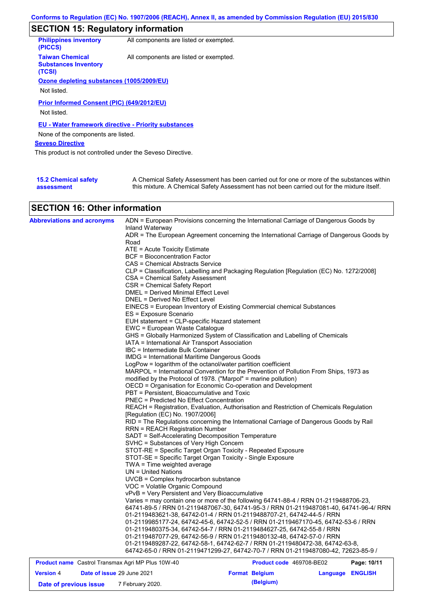# **SECTION 15: Regulatory information**

| <b>Philippines inventory</b><br>(PICCS)                         | All components are listed or exempted. |
|-----------------------------------------------------------------|----------------------------------------|
| <b>Taiwan Chemical</b><br><b>Substances Inventory</b><br>(TCSI) | All components are listed or exempted. |
| Ozone depleting substances (1005/2009/EU)                       |                                        |
|                                                                 |                                        |
| Not listed.                                                     |                                        |
| Prior Informed Consent (PIC) (649/2012/EU)<br>Not listed.       |                                        |
| <b>EU - Water framework directive - Priority substances</b>     |                                        |
| None of the components are listed.                              |                                        |
| <b>Seveso Directive</b>                                         |                                        |
| This product is not controlled under the Seveso Directive.      |                                        |
|                                                                 |                                        |

| <b>15.2 Chemical safety</b> | A Chemical Safety Assessment has been carried out for one or more of the substances within  |
|-----------------------------|---------------------------------------------------------------------------------------------|
| assessment                  | this mixture. A Chemical Safety Assessment has not been carried out for the mixture itself. |

## **SECTION 16: Other information**

|                                                                         | 64742-65-0 / RRN 01-2119471299-27, 64742-70-7 / RRN 01-2119487080-42, 72623-85-9 /       |  |
|-------------------------------------------------------------------------|------------------------------------------------------------------------------------------|--|
|                                                                         |                                                                                          |  |
|                                                                         | 01-2119489287-22, 64742-58-1, 64742-62-7 / RRN 01-2119480472-38, 64742-63-8,             |  |
|                                                                         | 01-2119487077-29, 64742-56-9 / RRN 01-2119480132-48, 64742-57-0 / RRN                    |  |
|                                                                         | 01-2119480375-34, 64742-54-7 / RRN 01-2119484627-25, 64742-55-8 / RRN                    |  |
|                                                                         | 01-2119985177-24, 64742-45-6, 64742-52-5 / RRN 01-2119467170-45, 64742-53-6 / RRN        |  |
|                                                                         | 01-2119483621-38, 64742-01-4 / RRN 01-2119488707-21, 64742-44-5 / RRN                    |  |
|                                                                         | 64741-89-5 / RRN 01-2119487067-30, 64741-95-3 / RRN 01-2119487081-40, 64741-96-4/ RRN    |  |
|                                                                         | Varies = may contain one or more of the following 64741-88-4 / RRN 01-2119488706-23,     |  |
| vPvB = Very Persistent and Very Bioaccumulative                         |                                                                                          |  |
| VOC = Volatile Organic Compound                                         |                                                                                          |  |
| UVCB = Complex hydrocarbon substance                                    |                                                                                          |  |
| $UN = United Nations$                                                   |                                                                                          |  |
| TWA = Time weighted average                                             |                                                                                          |  |
| STOT-SE = Specific Target Organ Toxicity - Single Exposure              |                                                                                          |  |
|                                                                         | STOT-RE = Specific Target Organ Toxicity - Repeated Exposure                             |  |
| SVHC = Substances of Very High Concern                                  |                                                                                          |  |
| SADT = Self-Accelerating Decomposition Temperature                      |                                                                                          |  |
| <b>RRN = REACH Registration Number</b>                                  |                                                                                          |  |
|                                                                         | RID = The Regulations concerning the International Carriage of Dangerous Goods by Rail   |  |
| [Regulation (EC) No. 1907/2006]                                         |                                                                                          |  |
|                                                                         | REACH = Registration, Evaluation, Authorisation and Restriction of Chemicals Regulation  |  |
| PNEC = Predicted No Effect Concentration                                |                                                                                          |  |
|                                                                         |                                                                                          |  |
| PBT = Persistent, Bioaccumulative and Toxic                             |                                                                                          |  |
|                                                                         | OECD = Organisation for Economic Co-operation and Development                            |  |
| modified by the Protocol of 1978. ("Marpol" = marine pollution)         |                                                                                          |  |
|                                                                         | MARPOL = International Convention for the Prevention of Pollution From Ships, 1973 as    |  |
| LogPow = logarithm of the octanol/water partition coefficient           |                                                                                          |  |
| <b>IMDG = International Maritime Dangerous Goods</b>                    |                                                                                          |  |
| IBC = Intermediate Bulk Container                                       |                                                                                          |  |
| IATA = International Air Transport Association                          |                                                                                          |  |
|                                                                         | GHS = Globally Harmonized System of Classification and Labelling of Chemicals            |  |
| EWC = European Waste Catalogue                                          |                                                                                          |  |
| EUH statement = CLP-specific Hazard statement                           |                                                                                          |  |
| ES = Exposure Scenario                                                  |                                                                                          |  |
|                                                                         | EINECS = European Inventory of Existing Commercial chemical Substances                   |  |
| DNEL = Derived No Effect Level                                          |                                                                                          |  |
| DMEL = Derived Minimal Effect Level                                     |                                                                                          |  |
| CSR = Chemical Safety Report                                            |                                                                                          |  |
| CSA = Chemical Safety Assessment                                        |                                                                                          |  |
|                                                                         | CLP = Classification, Labelling and Packaging Regulation [Regulation (EC) No. 1272/2008] |  |
| CAS = Chemical Abstracts Service                                        |                                                                                          |  |
| $ATE = Acute Toxicity Estimate$<br><b>BCF</b> = Bioconcentration Factor |                                                                                          |  |
| Road                                                                    |                                                                                          |  |
|                                                                         | ADR = The European Agreement concerning the International Carriage of Dangerous Goods by |  |
| Inland Waterway                                                         |                                                                                          |  |
|                                                                         |                                                                                          |  |

| <b>Product name</b> Castrol Transmax Agri MP Plus 10W-40 |                            |                       | Product code 469708-BE02 | Page: 10/11 |
|----------------------------------------------------------|----------------------------|-----------------------|--------------------------|-------------|
| <b>Version 4</b>                                         | Date of issue 29 June 2021 | <b>Format Belgium</b> | Language ENGLISH         |             |
| Date of previous issue                                   | 7 February 2020.           | (Belgium)             |                          |             |